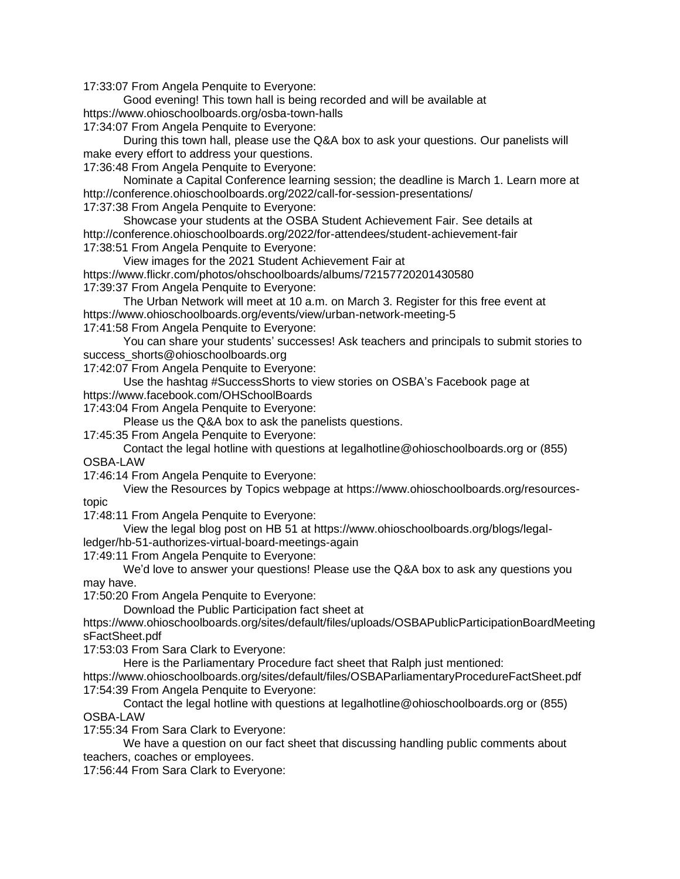17:33:07 From Angela Penquite to Everyone:

Good evening! This town hall is being recorded and will be available at https://www.ohioschoolboards.org/osba-town-halls

17:34:07 From Angela Penquite to Everyone:

During this town hall, please use the Q&A box to ask your questions. Our panelists will make every effort to address your questions.

17:36:48 From Angela Penquite to Everyone:

Nominate a Capital Conference learning session; the deadline is March 1. Learn more at http://conference.ohioschoolboards.org/2022/call-for-session-presentations/ 17:37:38 From Angela Penquite to Everyone:

Showcase your students at the OSBA Student Achievement Fair. See details at http://conference.ohioschoolboards.org/2022/for-attendees/student-achievement-fair 17:38:51 From Angela Penquite to Everyone:

View images for the 2021 Student Achievement Fair at https://www.flickr.com/photos/ohschoolboards/albums/72157720201430580 17:39:37 From Angela Penquite to Everyone:

The Urban Network will meet at 10 a.m. on March 3. Register for this free event at https://www.ohioschoolboards.org/events/view/urban-network-meeting-5

17:41:58 From Angela Penquite to Everyone:

You can share your students' successes! Ask teachers and principals to submit stories to success\_shorts@ohioschoolboards.org

17:42:07 From Angela Penquite to Everyone:

Use the hashtag #SuccessShorts to view stories on OSBA's Facebook page at https://www.facebook.com/OHSchoolBoards

17:43:04 From Angela Penquite to Everyone:

Please us the Q&A box to ask the panelists questions.

17:45:35 From Angela Penquite to Everyone:

Contact the legal hotline with questions at legalhotline@ohioschoolboards.org or (855) OSBA-LAW

17:46:14 From Angela Penquite to Everyone:

View the Resources by Topics webpage at https://www.ohioschoolboards.org/resourcestopic

17:48:11 From Angela Penquite to Everyone:

View the legal blog post on HB 51 at https://www.ohioschoolboards.org/blogs/legalledger/hb-51-authorizes-virtual-board-meetings-again

17:49:11 From Angela Penquite to Everyone:

We'd love to answer your questions! Please use the Q&A box to ask any questions you may have.

17:50:20 From Angela Penquite to Everyone:

Download the Public Participation fact sheet at

https://www.ohioschoolboards.org/sites/default/files/uploads/OSBAPublicParticipationBoardMeeting sFactSheet.pdf

17:53:03 From Sara Clark to Everyone:

Here is the Parliamentary Procedure fact sheet that Ralph just mentioned:

https://www.ohioschoolboards.org/sites/default/files/OSBAParliamentaryProcedureFactSheet.pdf 17:54:39 From Angela Penquite to Everyone:

Contact the legal hotline with questions at legalhotline@ohioschoolboards.org or (855) OSBA-LAW

17:55:34 From Sara Clark to Everyone:

We have a question on our fact sheet that discussing handling public comments about teachers, coaches or employees.

17:56:44 From Sara Clark to Everyone: